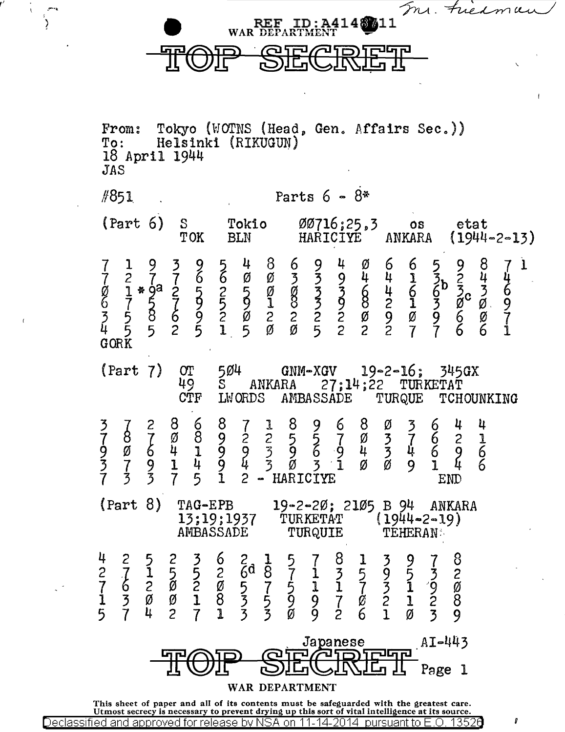In. Fried  $\neg$  cc  $ID: A414$   $11$ 

## e TOP SECRET

**WAR** 

*r'* 

ੋ

From: Tokyo (WOTNS (Head, Gen. Affairs Sec.)) To: Helsinki (RIKUGUN)<br>18 April 1944<br>JAS  $\#851$  . Parts 6 -  $8*$ (Part 6) S Tokio 00716;25,3 os etat<br>TOK BLN HARICIYE ANKARA (1944  $(1944 - 2 - 13)$ <sup>7</sup>l 9 3 g g 4 8 6 9 4 0 6 6 5 9 8 7 <sup>l</sup> 7 2 7 7 6 6 Ø Ø 3 3 9 4 4 1 3 6 2 4 4<br>Ø 1 \* 9 2 2 2 2 5 Ø Ø 3 3 6 4 6 6 3 3 6  $\begin{array}{ccccccc} \n\dot{\mathbf{g}} & \mathbf{1} & \ast & \mathbf{g} & \mathbf{2} & \mathbf{5} & \mathbf{2} & \mathbf{5} & \mathbf{0} & \mathbf{0} & \mathbf{3} & \mathbf{5} & \mathbf{6} & \mathbf{4} & \mathbf{6} & \mathbf{6} & \mathbf{5} & \mathbf{3} \\ \n\mathbf{6} & 7 & 5 & 7 & 5 & 5 & 1 & 8 & 3 & 5 & 6 & 2 & 1 & 5 & 8 & 6 \\ \n\mathbf{7} & 5 & 8 & 6 & 9 & 2 & 2 & 2 & 2$  $5 \t9 \t1 \t8 \t3 \t9 \t8 \t2 \t1 \t3 \t9 \t9 \t9$ 3 5 8 6 9 2 0 2 2 2 2 0 9 0 9 6 0 7<br>4 5 5 2 5 1 5 0 0 5 2 2 2 7 7 6 6 1<br>0 0 0 0 0 0 0 0 5 2 2 2 7 7 6 6 1  $\begin{array}{c} 2 \\ 2 \\ 7 \\ 7 \\ 5 \\ 4 \\ 3 \\ 6 \\ 0 \\ \end{array}$ (Part 7)  $\text{OT}$  504 GNM-XGV 19-2-16; 345GX<br>49 S ANKARA 27;14;22 TURKETAT<br>CTF LWORDS AMBASSADE TURQUE TCHOU 49 S ANKARA 27;14;22 TURKETAT CTF LWORDS AMBASSADE TURQUE TCHOUNKING 3793 ~ 2 8 6 8 7 l 8 9 6 8 0 3 6 4 4  $7879892557037621$ <br>9 0 6 4 1 9 9 3 9 6 9 4 3 4 6 9 6 9 0 4 1 9 9 Ø 6 4 1 9 9 3 9 6 9 4 3 4 6 9 6<br>3 7 9 1 4 9 4 3 Ø 3 1 Ø Ø 9 1 4 6<br>3 3 3 7 5 1 2 - HAPTCIVE  $7 \t3 \t3 \t7 \t5 \t1 \t2 - HARTCIVE$  END (Part 8) TAG-EPB 19-2-20; 2105 B 94 ANKARA<br>13;19;1937 TURKETAT (1944-2-19) 13;19;1937 TURKETAT (1944-2-1<br>AMBASSADE TURQUIE TEHERAN: 4 2 5 2 3 6 2 1 5 7 8 1 3 9 7 8  $\begin{array}{ccccccccccc} 2 & 1 & 1 & 5 & 5 & 2 & 6 & 8 & 7 & 1 & 5 & 5 & 9 & 5 & 3 & 2 \ 7 & 6 & 2 & 8 & 2 & 8 & 5 & 7 & 5 & 1 & 1 & 7 & 3 & 1 & 9 & 8 \ \end{array}$ 7 2 0 2 0 5 7 5 l 1 7 3 1 '9 0 1 3 0 0 1 8 3 5 9 9 7 0 2 1 2 8 5 7 4 2 7 1 3 3 0 9 2 6 1 0 3 9 Japanese AI-443<br>TOIP SECINE I Page 1 Page 1 WAR DEPARTMENT This sheet of paper and all of its contents must be safeguarded with the greatest care. Utmost secrecy is necessary to prevent drying up this sort of vital intelligence at its source.

Declassified and approved for release by NSA on 11-14-2014 pursuant to E.O. 13520  $\blacksquare$